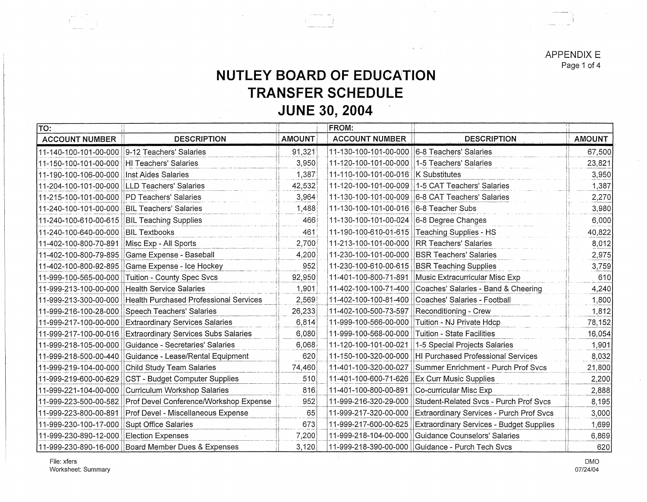APPENDIX E Page 1 of 4

## **NUTLEY BOARD OF EDUCATION TRANSFER SCHEDULE JUNE 30, 2004**

in si

| TO:                      |                                                      |               | FROM:                                          |                                                  |               |
|--------------------------|------------------------------------------------------|---------------|------------------------------------------------|--------------------------------------------------|---------------|
| <b>ACCOUNT NUMBER</b>    | <b>DESCRIPTION</b>                                   | <b>AMOUNT</b> | <b>ACCOUNT NUMBER</b>                          | <b>DESCRIPTION</b>                               | <b>AMOUNT</b> |
| 11-140-100-101-00-000    | 9-12 Teachers' Salaries                              | 91,321        | 11-130-100-101-00-000                          | 6-8 Teachers' Salaries                           | 67,500        |
| l11-150-100-101-00-000 l | HI Teachers' Salaries                                | 3,950         | 11-120-100-101-00-000   1-5 Teachers' Salaries |                                                  | 23,821        |
| 11-190-100-106-00-000    | Inst Aides Salaries                                  | 1,387         | 11-110-100-101-00-016   K Substitutes          |                                                  | 3,950         |
| 11-204-100-101-00-000    | <b>LLD Teachers' Salaries</b>                        | 42,532        | 11-120-100-101-00-009                          | 1-5 CAT Teachers' Salaries                       | 1,387         |
| 11-215-100-101-00-000    | <b>PD Teachers' Salaries</b>                         | 3,964         |                                                | 11-130-100-101-00-009 6-8 CAT Teachers' Salaries | 2,270         |
| 11-240-100-101-00-000    | <b>BIL Teachers' Salaries</b>                        | 1,488         | 11-130-100-101-00-016                          | 6-8 Teacher Subs                                 | 3,980         |
| 11-240-100-610-00-615    | <b>BIL Teaching Supplies</b>                         | 466           | 11-130-100-101-00-024                          | 6-8 Degree Changes                               | 6,000         |
| 11-240-100-640-00-000    | <b>BIL Textbooks</b>                                 | 461           | 11-190-100-610-01-615                          | Teaching Supplies - HS                           | 40,822        |
| 11-402-100-800-70-891    | Misc Exp - All Sports                                | 2,700         | 11-213-100-101-00-000                          | <b>RR Teachers' Salaries</b>                     | 8,012         |
| 11-402-100-800-79-895    | Game Expense - Baseball                              | 4,200         | 11-230-100-101-00-000                          | <b>BSR Teachers' Salaries</b>                    | 2,975         |
| 11-402-100-800-92-895    | Game Expense - Ice Hockey                            | 952           | 11-230-100-610-00-615                          | <b>BSR Teaching Supplies</b>                     | 3,759         |
| 111-999-100-565-00-000   | Tuition - County Spec Svcs                           | 92,950        | 11-401-100-800-71-891                          | Music Extracurricular Misc Exp                   | 610           |
| 11-999-213-100-00-000    | <b>Health Service Salaries</b>                       | 1,901         | 11-402-100-100-71-400                          | Coaches' Salaries - Band & Cheering              | 4,240         |
| 11-999-213-300-00-000    | <b>Health Purchased Professional Services</b>        | 2,569         | 11-402-100-100-81-400                          | Coaches' Salaries - Football                     | 1,800         |
| 11-999-216-100-28-000    | Speech Teachers' Salaries                            | 26,233        | 11-402-100-500-73-597                          | Reconditioning - Crew                            | 1,812         |
| 11-999-217-100-00-000    | <b>Extraordinary Services Salaries</b>               | 6,814         | 11-999-100-566-00-000                          | Tuition - NJ Private Hdcp                        | 78,152        |
| 11-999-217-100-00-016    | <b>Extraordinary Services Subs Salaries</b>          | 6,080         | 11-999-100-568-00-000                          | <b>Tuition - State Facilities</b>                | 16,054        |
| 111-999-218-105-00-000   | Guidance - Secretaries' Salaries                     | 6,068         | 11-120-100-101-00-021                          | 1-5 Special Projects Salaries                    | 1,901         |
| 11-999-218-500-00-440    | Guidance - Lease/Rental Equipment                    | 620           | 11-150-100-320-00-000                          | HI Purchased Professional Services               | 8,032         |
| 11-999-219-104-00-000    | Child Study Team Salaries                            | 74,460        | 11-401-100-320-00-027                          | Summer Enrichment - Purch Prof Svcs              | 21,800        |
| 11-999-219-600-00-629    | CST - Budget Computer Supplies                       | 510           | 11-401-100-600-71-626                          | Ex Curr Music Supplies                           | 2,200         |
| 11-999-221-104-00-000    | Curriculum Workshop Salaries                         | 816           | 11-401-100-800-00-891                          | Co-curricular Misc Exp                           | 2,888         |
| 11-999-223-500-00-582    | Prof Devel Conference/Workshop Expense               | 952           | 11-999-216-320-29-000                          | Student-Related Svcs - Purch Prof Svcs           | 8,195         |
| 11-999-223-800-00-891    | Prof Devel - Miscellaneous Expense                   | 65            | 11-999-217-320-00-000                          | Extraordinary Services - Purch Prof Svcs         | 3,000         |
| 11-999-230-100-17-000    | Supt Office Salaries                                 | 673           | 11-999-217-600-00-625                          | Extraordinary Services - Budget Supplies         | 1,699         |
| 11-999-230-890-12-000    | <b>Election Expenses</b>                             | 7,200         | 11-999-218-104-00-000                          | Guidance Counselors' Salaries                    | 6,869         |
|                          | 11-999-230-890-16-000   Board Member Dues & Expenses | 3,120         | 11-999-218-390-00-000                          | Guidance - Purch Tech Svcs                       | 620           |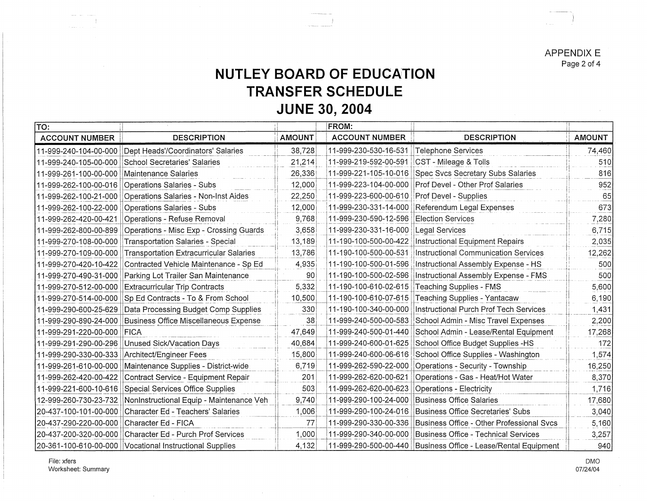**APPENDIX E** Page 2 of 4

## **NUTLEY BOARD OF EDUCATION TRANSFER SCHEDULE JUNE 30, 2004**

| TO:                                         |                                                          |               | <b>FROM:</b>          |                                                                  |               |
|---------------------------------------------|----------------------------------------------------------|---------------|-----------------------|------------------------------------------------------------------|---------------|
| <b>ACCOUNT NUMBER</b>                       | <b>DESCRIPTION</b>                                       | <b>AMOUNT</b> | <b>ACCOUNT NUMBER</b> | <b>DESCRIPTION</b>                                               | <b>AMOUNT</b> |
| 11-999-240-104-00-000                       | Dept Heads'/Coordinators' Salaries                       | 38,728        | 11-999-230-530-16-531 | Telephone Services                                               | 74,460        |
| 11-999-240-105-00-000                       | School Secretaries' Salaries                             | 21,214        | 11-999-219-592-00-591 | CST - Mileage & Tolls                                            | 510           |
| 11-999-261-100-00-000                       | Maintenance Salaries                                     | 26,336        | 11-999-221-105-10-016 | Spec Svcs Secretary Subs Salaries                                | 816           |
| 11-999-262-100-00-016                       | Operations Salaries - Subs                               | 12,000        | 11-999-223-104-00-000 | Prof Devel - Other Prof Salaries                                 | 952           |
| 11-999-262-100-21-000                       | Operations Salaries - Non-Inst Aides                     | 22,250        | 11-999-223-600-00-610 | <b>Prof Devel - Supplies</b>                                     | 65            |
| 11-999-262-100-22-000                       | Operations Salaries - Subs                               | 12,000        | 11-999-230-331-14-000 | Referendum Legal Expenses                                        | 673           |
| 11-999-262-420-00-421                       | Operations - Refuse Removal                              | 9,768         | 11-999-230-590-12-596 | <b>Election Services</b>                                         | 7,280         |
| 11-999-262-800-00-899                       | Operations - Misc Exp - Crossing Guards                  | 3,658         | 11-999-230-331-16-000 | <b>Legal Services</b>                                            | 6,715         |
| 11-999-270-108-00-000                       | Transportation Salaries - Special                        | 13,189        | 11-190-100-500-00-422 | Instructional Equipment Repairs                                  | 2,035         |
| 11-999-270-109-00-000                       | <b>Transportation Extracurricular Salaries</b>           | 13,786        | 11-190-100-500-00-531 | Instructional Communication Services                             | 12,262        |
| 11-999-270-420-10-422                       | Contracted Vehicle Maintenance - Sp Ed                   | 4,935         | 11-190-100-500-01-596 | Instructional Assembly Expense - HS                              | 500           |
| 11-999-270-490-31-000                       | Parking Lot Trailer San Maintenance                      | 90            | 11-190-100-500-02-596 | Instructional Assembly Expense - FMS                             | 500           |
| 11-999-270-512-00-000                       | <b>Extracurricular Trip Contracts</b>                    | 5,332         | 11-190-100-610-02-615 | Teaching Supplies - FMS                                          | 5,600         |
| 11-999-270-514-00-000                       | Sp Ed Contracts - To & From School                       | 10,500        | 11-190-100-610-07-615 | Teaching Supplies - Yantacaw                                     | 6,190         |
| 11-999-290-600-25-629                       | Data Processing Budget Comp Supplies                     | 330           | 11-190-100-340-00-000 | Instructional Purch Prof Tech Services                           | 1,431         |
| 11-999-290-890-24-000                       | Business Office Miscellaneous Expense                    | 38            | 11-999-240-500-00-583 | School Admin - Misc Travel Expenses                              | 2,200         |
| 11-999-291-220-00-000                       | <b>FICA</b>                                              | 47,649        | 11-999-240-500-01-440 | School Admin - Lease/Rental Equipment                            | 17,268        |
|                                             | 11-999-291-290-00-296   Unused Sick/Vacation Days        | 40,684        | 11-999-240-600-01-625 | School Office Budget Supplies -HS                                | 172           |
|                                             | 11-999-290-330-00-333   Architect/Engineer Fees          | 15,800        | 11-999-240-600-06-616 | School Office Supplies - Washington                              | 1,574         |
| 11-999-261-610-00-000                       | Maintenance Supplies - District-wide                     | 6,719         |                       | 11-999-262-590-22-000   Operations - Security - Township         | 16,250        |
| 11-999-262-420-00-422                       | Contract Service - Equipment Repair                      | 201           | 11-999-262-620-00-621 | Operations - Gas - Heat/Hot Water                                | 8,370         |
|                                             | 11-999-221-600-10-616 Special Services Office Supplies   | 503           | 11-999-262-620-00-623 | Operations - Electricity                                         | 1,716         |
| 12-999-260-730-23-732                       | NonInstructional Equip - Maintenance Veh                 | 9,740         | 11-999-290-100-24-000 | Business Office Salaries                                         | 17,680        |
|                                             | 20-437-100-101-00-000 Character Ed - Teachers' Salaries  | 1,006         | 11-999-290-100-24-016 | Business Office Secretaries' Subs                                | 3,040         |
| 20-437-290-220-00-000   Character Ed - FICA |                                                          | 77            | 11-999-290-330-00-336 | Business Office - Other Professional Svcs                        | 5,160         |
|                                             | 20-437-200-320-00-000 Character Ed - Purch Prof Services | 1,000         | 11-999-290-340-00-000 | Business Office - Technical Services                             | 3,257         |
|                                             |                                                          | 4.132         |                       | 11-999-290-500-00-440   Business Office - Lease/Rental Fquipment | 9401          |

**DMO** 07/24/04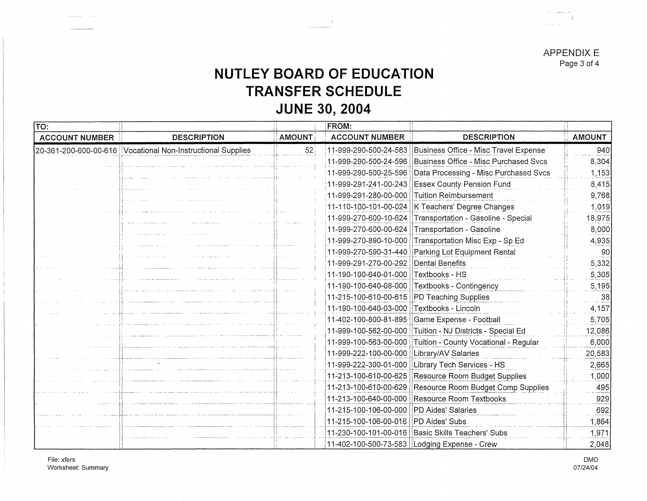**APPENDIX E** Page 3 of 4

## NUTLEY BOARD OF EDUCATION **TRANSFER SCHEDULE JUNE 30, 2004**

| $\overline{\text{TO:}}$<br>FROM: |                                                             |               |                                        |                                                |               |
|----------------------------------|-------------------------------------------------------------|---------------|----------------------------------------|------------------------------------------------|---------------|
| <b>ACCOUNT NUMBER</b>            | <b>DESCRIPTION</b>                                          | <b>AMOUNT</b> | <b>ACCOUNT NUMBER</b>                  | <b>DESCRIPTION</b>                             | <b>AMOUNT</b> |
|                                  | 20-361-200-600-00-616 Vocational Non-Instructional Supplies | 52            | 11-999-290-500-24-583                  | Business Office - Misc Travel Expense          | 940           |
|                                  |                                                             |               | 11-999-290-500-24-596                  | Business Office - Misc Purchased Svcs          | 8,304         |
|                                  |                                                             |               | 11-999-290-500-25-596                  | Data Processing - Misc Purchased Svcs          | 1,153         |
|                                  |                                                             |               | 11-999-291-241-00-243                  | <b>Essex County Pension Fund</b>               | 8,415         |
|                                  |                                                             |               | 11-999-291-280-00-000                  | Tuition Reimbursement                          | 9,768         |
|                                  |                                                             |               | 11-110-100-101-00-024                  | K Teachers' Degree Changes                     | 1,019         |
|                                  |                                                             |               | 11-999-270-600-10-624                  | Transportation - Gasoline - Special            | 18,975        |
|                                  |                                                             |               | 11-999-270-600-00-624                  | Transportation - Gasoline                      | 8,000         |
|                                  |                                                             |               | 11-999-270-890-10-000                  | Transportation Misc Exp - Sp Ed                | 4,935         |
|                                  |                                                             |               | 11-999-270-590-31-440                  | Parking Lot Equipment Rental                   | 90            |
|                                  |                                                             |               | 11-999-291-270-00-292                  | Dental Benefits                                | 5,332         |
|                                  |                                                             |               | 11-190-100-640-01-000                  | Textbooks - HS                                 | 5,305         |
|                                  |                                                             |               | 11-190-100-640-08-000                  | Textbooks - Contingency                        | 5,195         |
|                                  |                                                             |               | 11-215-100-610-00-615                  | PD Teaching Supplies                           | 38            |
|                                  |                                                             |               | 11-190-100-640-03-000                  | Textbooks - Lincoln                            | 4,157         |
|                                  |                                                             |               | 11-402-100-800-81-895                  | Game Expense - Football                        | 5,705         |
|                                  |                                                             |               | 11-999-100-562-00-000                  | Tuition - NJ Districts - Special Ed            | 12,086        |
|                                  |                                                             |               | 11-999-100-563-00-000                  | Tuition - County Vocational - Regular          | 6,000         |
|                                  |                                                             |               | 11-999-222-100-00-000                  | Library/AV Salaries                            | 20,583        |
|                                  |                                                             |               | 11-999-222-300-01-000                  | Library Tech Services - HS                     | 2,665         |
|                                  |                                                             |               | 11-213-100-610-00-625                  | Resource Room Budget Supplies                  | 1,000         |
|                                  |                                                             |               | 11-213-100-610-00-629                  | Resource Room Budget Comp Supplies             | 495           |
|                                  |                                                             |               | 11-213-100-640-00-000                  | Resource Room Textbooks                        | 929           |
|                                  |                                                             |               | 11-215-100-106-00-000                  | PD Aides' Salaries                             | 692           |
|                                  |                                                             |               | 11-215-100-106-00-016   PD Aides' Subs |                                                | 1,864         |
|                                  |                                                             |               | 11-230-100-101-00-016                  | Basic Skills Teachers' Subs                    | 1,971         |
|                                  |                                                             |               |                                        | 11-402-100-500-73-583   Lodging Expense - Crew | 2,048         |

File: xfers Worksheet: Summary

**DMO** 07/24/04